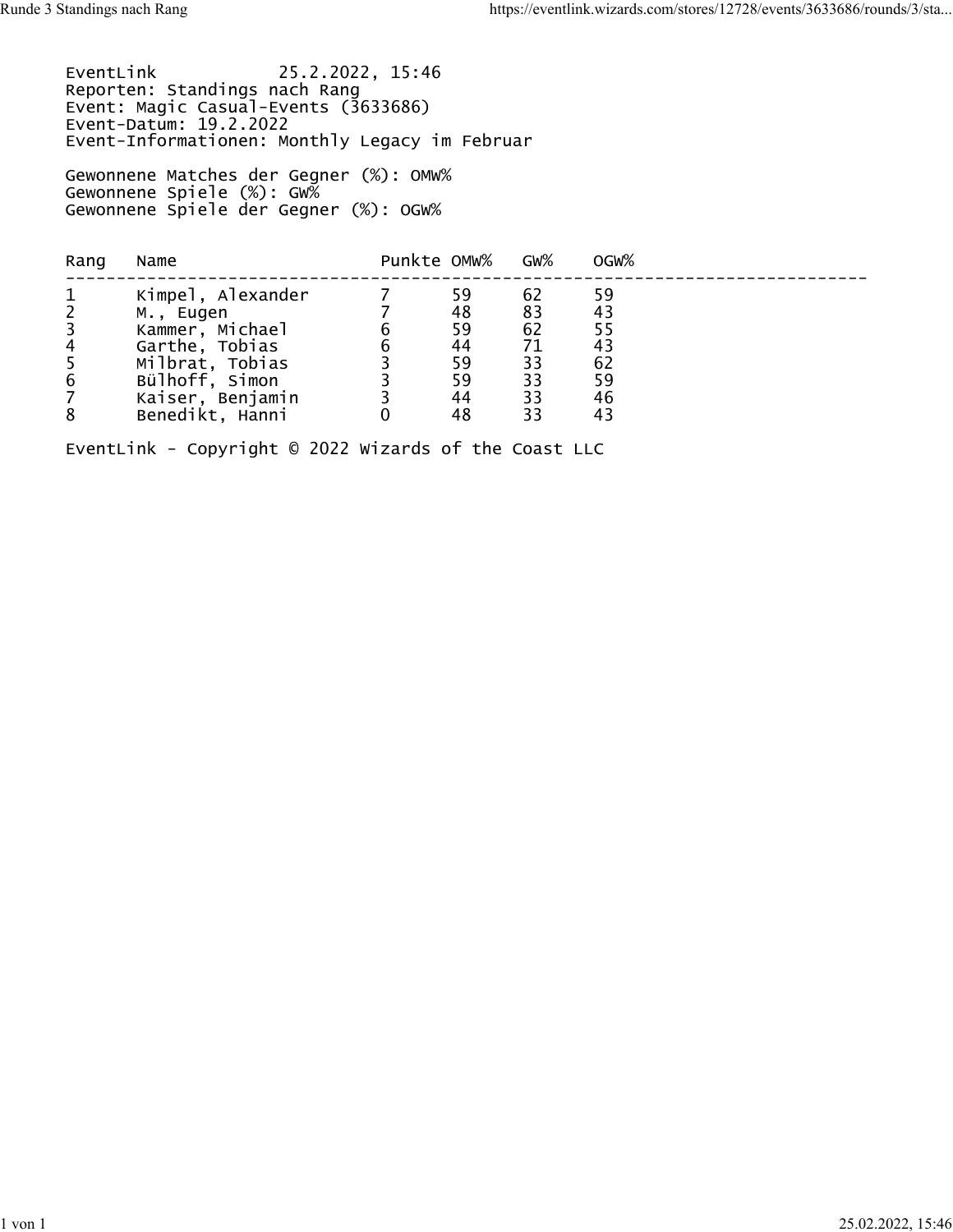EventLink 25.2.2022, 15:46 Reporten: Standings nach Rang Event: Magic Casual-Events (3633686) Event-Datum: 19.2.2022 Event-Informationen: Monthly Legacy im Februar Gewonnene Matches der Gegner (%): OMW% Gewonnene Spiele (%): GW% Gewonnene Spiele der Gegner (%): OGW%

| Punkte OMW%<br>GW%<br>OGW%<br>Rang<br>Name                                                                                                                                                                                                                                                                                                                                              |  |
|-----------------------------------------------------------------------------------------------------------------------------------------------------------------------------------------------------------------------------------------------------------------------------------------------------------------------------------------------------------------------------------------|--|
| $\mathbf{1}$<br>59<br>Kimpel, Alexander<br>62<br>59<br>$\frac{2}{3}$<br>83<br>48<br>43<br>M., Eugen<br>Kammer, Michael<br>55<br>62<br>59<br>$\overline{4}$<br>Garthe, Tobias<br>44<br>71<br>43<br>5<br>62<br>59<br>Milbrat, Tobias<br>33<br>$6\,$<br>Bülhoff, Simon<br>33<br>59<br>59<br>$\overline{7}$<br>33<br>Kaiser, Benjamin<br>44<br>46<br>8<br>Benedikt, Hanni<br>48<br>33<br>43 |  |

EventLink - Copyright © 2022 Wizards of the Coast LLC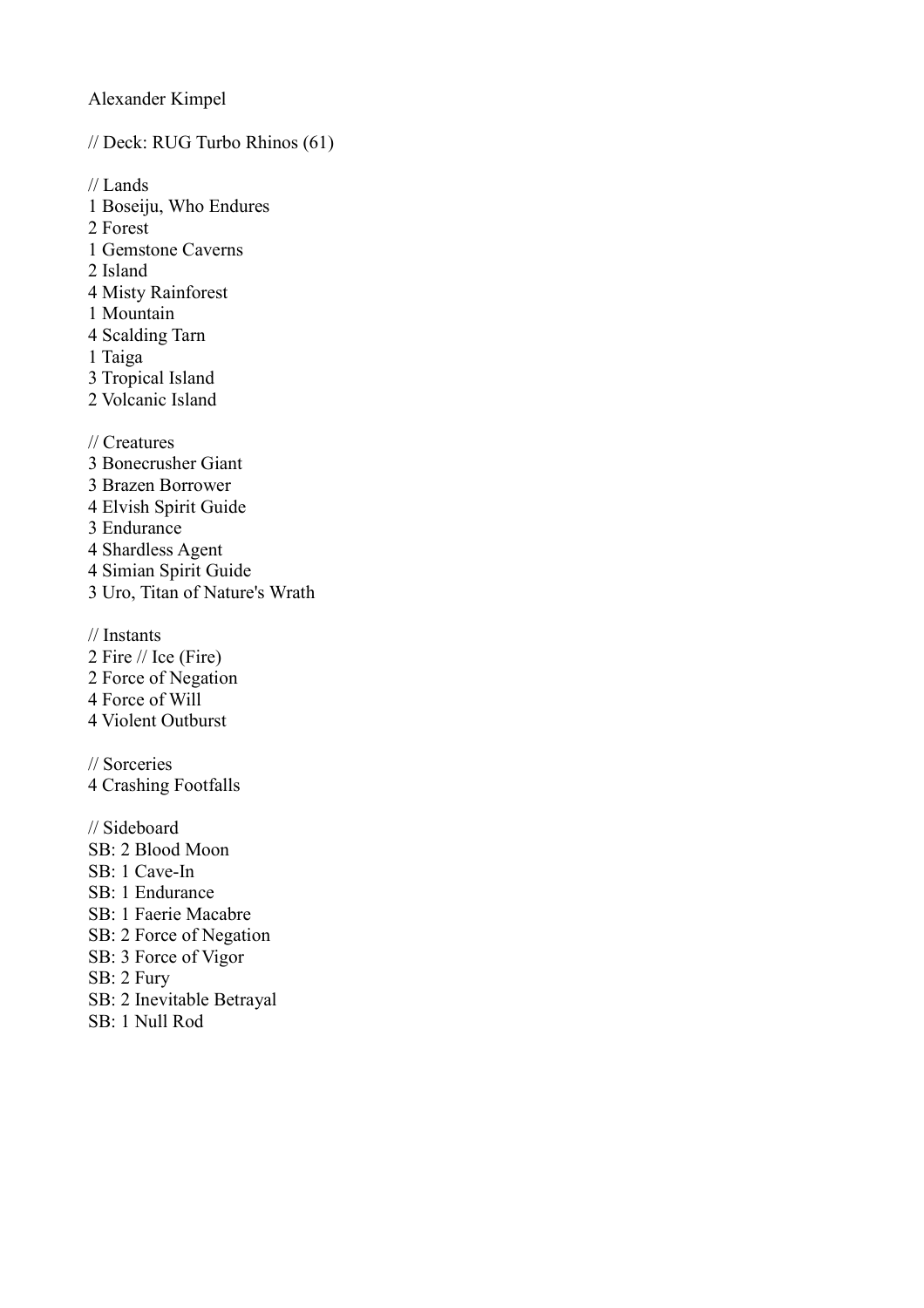Alexander Kimpel

// Deck: RUG Turbo Rhinos (61)

// Lands

- 1 Boseiju, Who Endures
- 2 Forest
- 1 Gemstone Caverns
- 2 Island
- 4 Misty Rainforest
- 1 Mountain
- 4 Scalding Tarn
- 1 Taiga
- 3 Tropical Island
- 2 Volcanic Island

// Creatures

- 3 Bonecrusher Giant
- 3 Brazen Borrower
- 4 Elvish Spirit Guide

3 Endurance

4 Shardless Agent

4 Simian Spirit Guide

3 Uro, Titan of Nature's Wrath

// Instants

- 2 Fire // Ice (Fire)
- 2 Force of Negation
- 4 Force of Will
- 4 Violent Outburst

// Sorceries

4 Crashing Footfalls

// Sideboard

- SB: 2 Blood Moon
- SB: 1 Cave-In
- SB: 1 Endurance
- SB: 1 Faerie Macabre
- SB: 2 Force of Negation
- SB: 3 Force of Vigor
- SB: 2 Fury
- SB: 2 Inevitable Betrayal
- SB: 1 Null Rod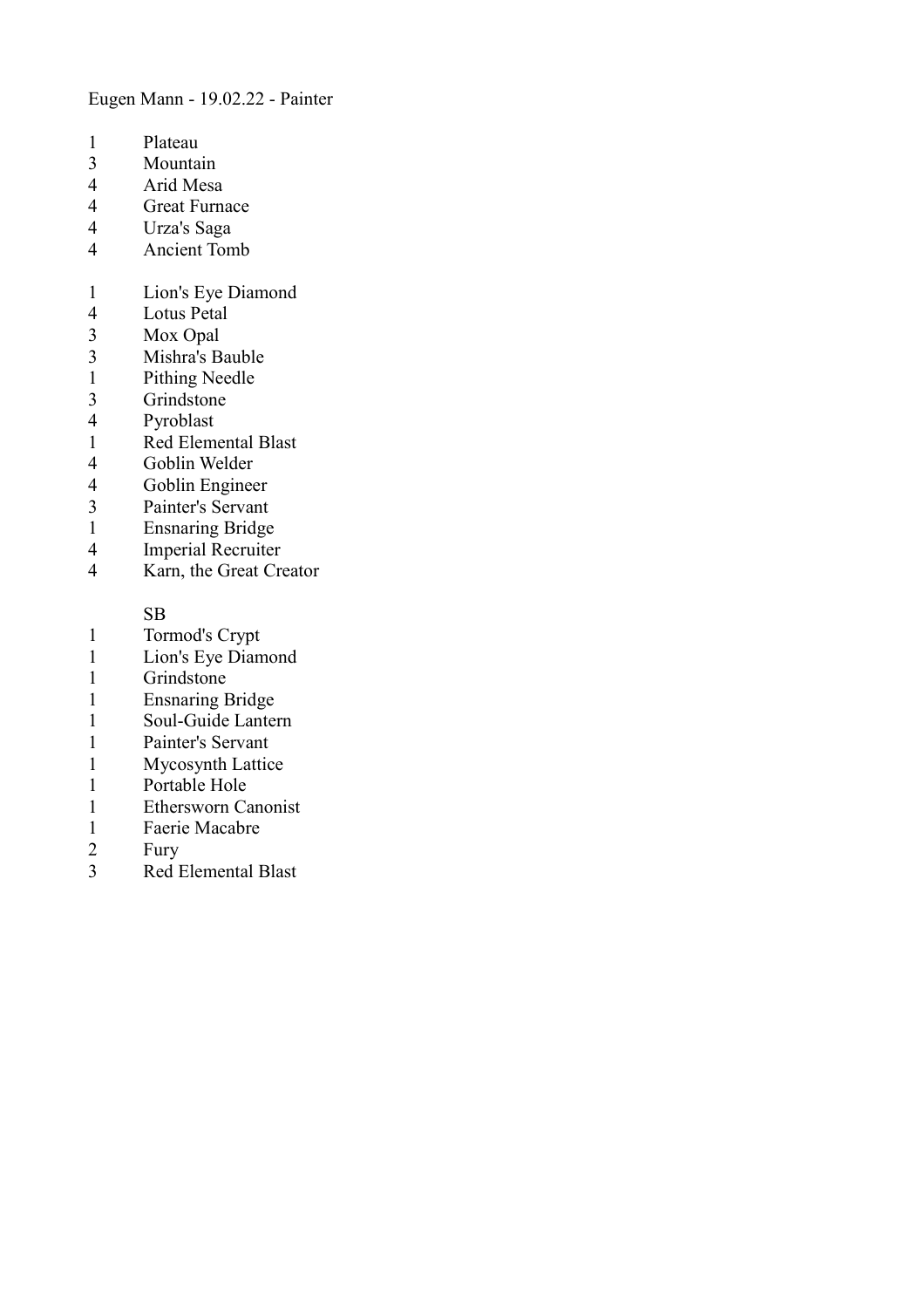Eugen Mann - 19.02.22 - Painter

- 
- 1 Plateau<br>3 Mounta
- 3 Mountain<br>4 Arid Mesa Arid Mesa
- 4 Great Furnace
- 
- 4 Urza's Saga 4 Ancient Tomb
- 1 Lion's Eye Diamond
- 4 Lotus Petal<br>3 Mox Opal
- 3 Mox Opal<br>3 Mishra's B
- 3 Mishra's Bauble<br>1 Pithing Needle
- Pithing Needle
- 3 Grindstone<br>4 Pyroblast
- Pyroblast
- 1 Red Elemental Blast
- 4 Goblin Welder<br>4 Goblin Enginee
- 4 Goblin Engineer<br>3 Painter's Servant
- Painter's Servant
- 1 Ensnaring Bridge
- 4 Imperial Recruiter<br>4 Karn, the Great Cre
- Karn, the Great Creator

SB

- 1 Tormod's Crypt<br>1 Lion's Eve Diam
- Lion's Eye Diamond
- 1 Grindstone
- 1 Ensnaring Bridge
- 1 Soul-Guide Lantern<br>1 Painter's Servant
- Painter's Servant
- 1 Mycosynth Lattice
- 1 Portable Hole<br>1 Ethersworn Ca
- 1 Ethersworn Canonist<br>1 Faerie Macabre
- 1 Faerie Macabre<br>2 Fury
- **Fury**
- 3 Red Elemental Blast